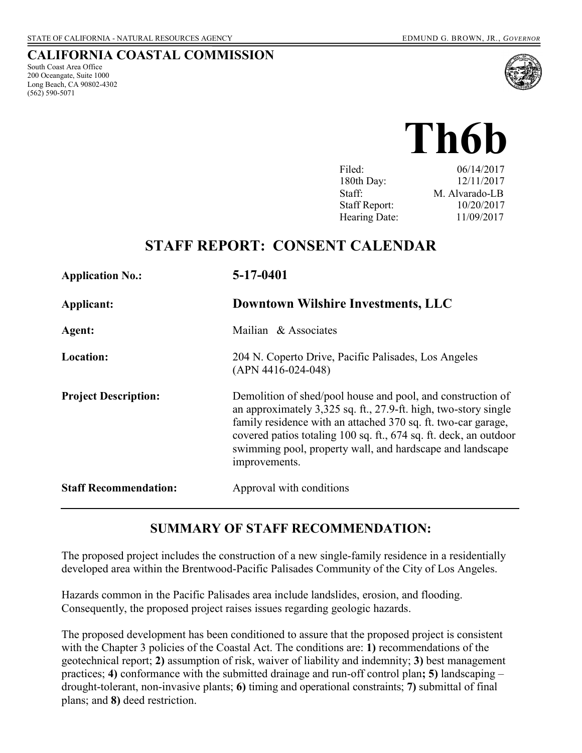#### **CALIFORNIA COASTAL COMMISSION**

South Coast Area Office 200 Oceangate, Suite 1000 Long Beach, CA 90802-4302 (562) 590-5071



 $\sum_{\text{Filed:}}$   $\sum_{\text{D6}/14/2017}$ 

| Filed:               | 06/14/2017     |
|----------------------|----------------|
| 180th Day:           | 12/11/2017     |
| Staff:               | M. Alvarado-LB |
| <b>Staff Report:</b> | 10/20/2017     |
| Hearing Date:        | 11/09/2017     |

# **STAFF REPORT: CONSENT CALENDAR**

| <b>Application No.:</b>      | 5-17-0401                                                                                                                                                                                                                                                                                                                                          |
|------------------------------|----------------------------------------------------------------------------------------------------------------------------------------------------------------------------------------------------------------------------------------------------------------------------------------------------------------------------------------------------|
| Applicant:                   | <b>Downtown Wilshire Investments, LLC</b>                                                                                                                                                                                                                                                                                                          |
| Agent:                       | Mailian & Associates                                                                                                                                                                                                                                                                                                                               |
| Location:                    | 204 N. Coperto Drive, Pacific Palisades, Los Angeles<br>$(APN 4416-024-048)$                                                                                                                                                                                                                                                                       |
| <b>Project Description:</b>  | Demolition of shed/pool house and pool, and construction of<br>an approximately 3,325 sq. ft., 27.9-ft. high, two-story single<br>family residence with an attached 370 sq. ft. two-car garage,<br>covered patios totaling 100 sq. ft., 674 sq. ft. deck, an outdoor<br>swimming pool, property wall, and hardscape and landscape<br>improvements. |
| <b>Staff Recommendation:</b> | Approval with conditions                                                                                                                                                                                                                                                                                                                           |

### **SUMMARY OF STAFF RECOMMENDATION:**

The proposed project includes the construction of a new single-family residence in a residentially developed area within the Brentwood-Pacific Palisades Community of the City of Los Angeles.

Hazards common in the Pacific Palisades area include landslides, erosion, and flooding. Consequently, the proposed project raises issues regarding geologic hazards.

The proposed development has been conditioned to assure that the proposed project is consistent with the Chapter 3 policies of the Coastal Act. The conditions are: **1)** recommendations of the geotechnical report; **2)** assumption of risk, waiver of liability and indemnity; **3)** best management practices; **4)** conformance with the submitted drainage and run-off control plan**; 5)** landscaping – drought-tolerant, non-invasive plants; **6)** timing and operational constraints; **7)** submittal of final plans; and **8)** deed restriction.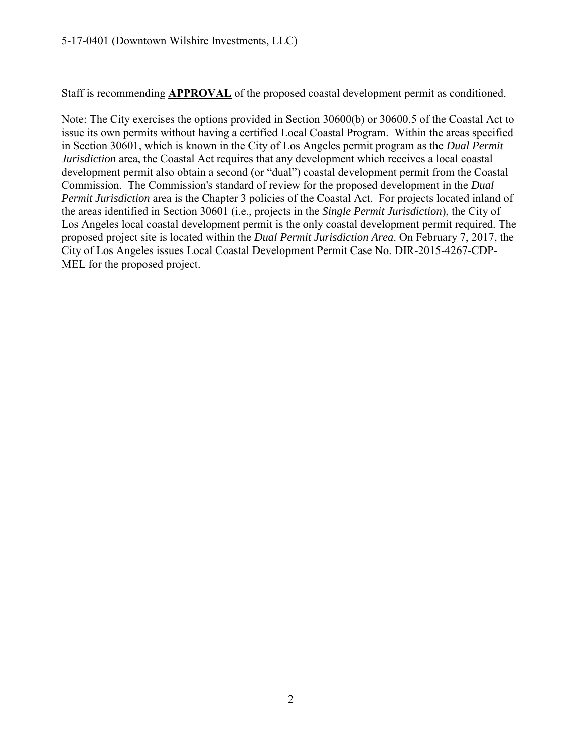Staff is recommending **APPROVAL** of the proposed coastal development permit as conditioned.

Note: The City exercises the options provided in Section 30600(b) or 30600.5 of the Coastal Act to issue its own permits without having a certified Local Coastal Program. Within the areas specified in Section 30601, which is known in the City of Los Angeles permit program as the *Dual Permit Jurisdiction* area, the Coastal Act requires that any development which receives a local coastal development permit also obtain a second (or "dual") coastal development permit from the Coastal Commission. The Commission's standard of review for the proposed development in the *Dual Permit Jurisdiction* area is the Chapter 3 policies of the Coastal Act. For projects located inland of the areas identified in Section 30601 (i.e., projects in the *Single Permit Jurisdiction*), the City of Los Angeles local coastal development permit is the only coastal development permit required. The proposed project site is located within the *Dual Permit Jurisdiction Area*. On February 7, 2017, the City of Los Angeles issues Local Coastal Development Permit Case No. DIR-2015-4267-CDP-MEL for the proposed project.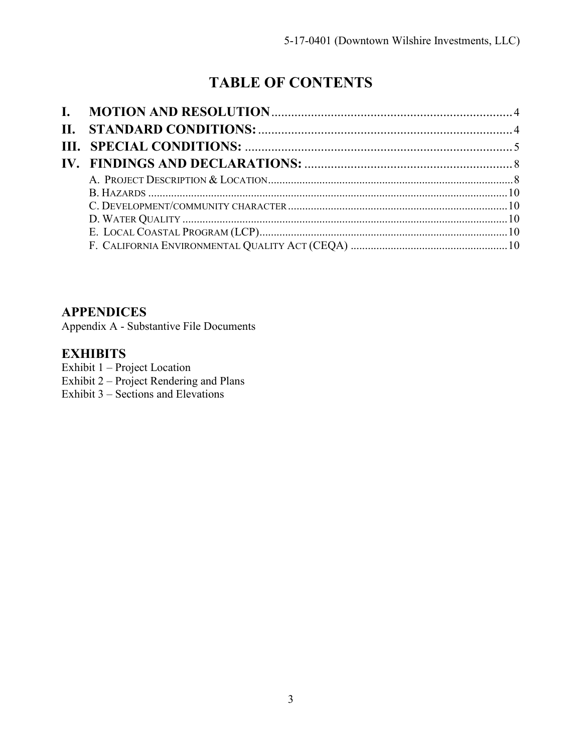# **TABLE OF CONTENTS**

### **APPENDICES**

[Appendix A - Substantive File Documents](#page-10-0) 

### **EXHIBITS**

Exhibit 1 – Project Location [Exhibit 2 – Project Rendering and Plans](https://documents.coastal.ca.gov/reports/2017/11/Th6b/Th6b-11-2017-exhibits.pdf)  Exhibit 3 – Sections and Elevations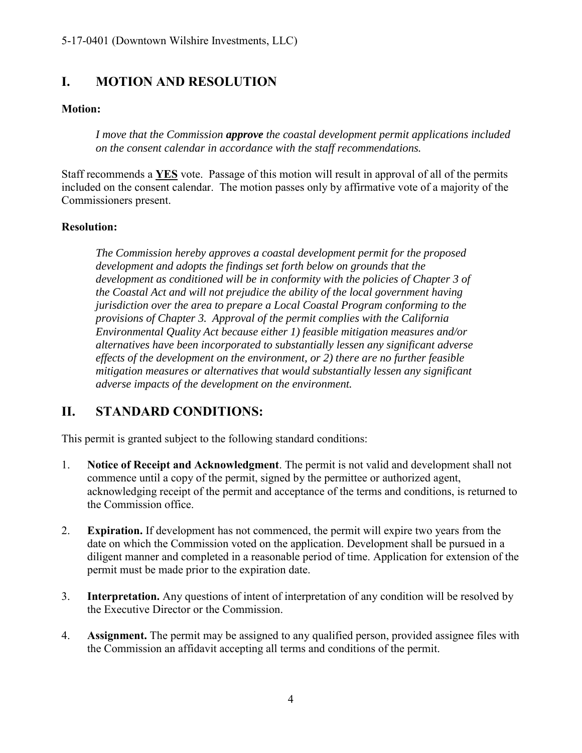# <span id="page-3-0"></span>**I. MOTION AND RESOLUTION**

#### **Motion:**

*I move that the Commission approve the coastal development permit applications included on the consent calendar in accordance with the staff recommendations.*

Staff recommends a **YES** vote. Passage of this motion will result in approval of all of the permits included on the consent calendar. The motion passes only by affirmative vote of a majority of the Commissioners present.

#### **Resolution:**

*The Commission hereby approves a coastal development permit for the proposed development and adopts the findings set forth below on grounds that the development as conditioned will be in conformity with the policies of Chapter 3 of the Coastal Act and will not prejudice the ability of the local government having jurisdiction over the area to prepare a Local Coastal Program conforming to the provisions of Chapter 3. Approval of the permit complies with the California Environmental Quality Act because either 1) feasible mitigation measures and/or alternatives have been incorporated to substantially lessen any significant adverse effects of the development on the environment, or 2) there are no further feasible mitigation measures or alternatives that would substantially lessen any significant adverse impacts of the development on the environment.* 

# <span id="page-3-1"></span>**II. STANDARD CONDITIONS:**

This permit is granted subject to the following standard conditions:

- 1. **Notice of Receipt and Acknowledgment**. The permit is not valid and development shall not commence until a copy of the permit, signed by the permittee or authorized agent, acknowledging receipt of the permit and acceptance of the terms and conditions, is returned to the Commission office.
- 2. **Expiration.** If development has not commenced, the permit will expire two years from the date on which the Commission voted on the application. Development shall be pursued in a diligent manner and completed in a reasonable period of time. Application for extension of the permit must be made prior to the expiration date.
- 3. **Interpretation.** Any questions of intent of interpretation of any condition will be resolved by the Executive Director or the Commission.
- 4. **Assignment.** The permit may be assigned to any qualified person, provided assignee files with the Commission an affidavit accepting all terms and conditions of the permit.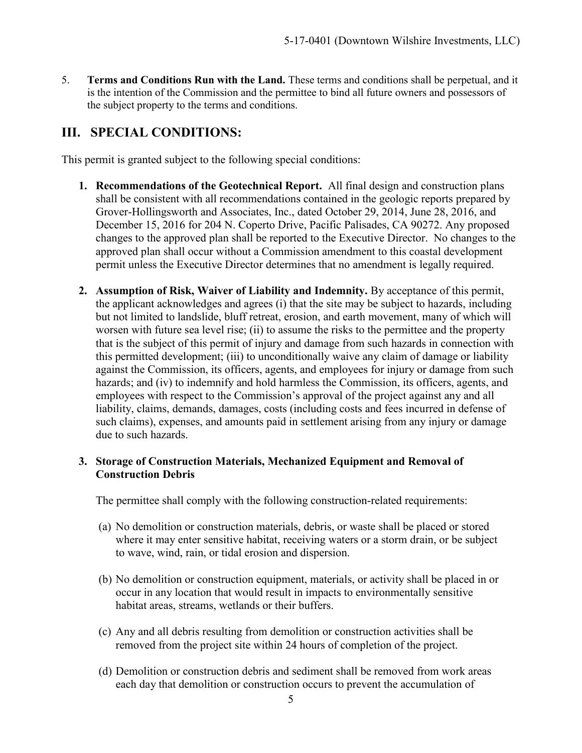5. **Terms and Conditions Run with the Land.** These terms and conditions shall be perpetual, and it is the intention of the Commission and the permittee to bind all future owners and possessors of the subject property to the terms and conditions.

# <span id="page-4-0"></span>**III. SPECIAL CONDITIONS:**

This permit is granted subject to the following special conditions:

- **1. Recommendations of the Geotechnical Report.** All final design and construction plans shall be consistent with all recommendations contained in the geologic reports prepared by Grover-Hollingsworth and Associates, Inc., dated October 29, 2014, June 28, 2016, and December 15, 2016 for 204 N. Coperto Drive, Pacific Palisades, CA 90272. Any proposed changes to the approved plan shall be reported to the Executive Director. No changes to the approved plan shall occur without a Commission amendment to this coastal development permit unless the Executive Director determines that no amendment is legally required.
- **2. Assumption of Risk, Waiver of Liability and Indemnity.** By acceptance of this permit, the applicant acknowledges and agrees (i) that the site may be subject to hazards, including but not limited to landslide, bluff retreat, erosion, and earth movement, many of which will worsen with future sea level rise; (ii) to assume the risks to the permittee and the property that is the subject of this permit of injury and damage from such hazards in connection with this permitted development; (iii) to unconditionally waive any claim of damage or liability against the Commission, its officers, agents, and employees for injury or damage from such hazards; and (iv) to indemnify and hold harmless the Commission, its officers, agents, and employees with respect to the Commission's approval of the project against any and all liability, claims, demands, damages, costs (including costs and fees incurred in defense of such claims), expenses, and amounts paid in settlement arising from any injury or damage due to such hazards.

#### **3. Storage of Construction Materials, Mechanized Equipment and Removal of Construction Debris**

The permittee shall comply with the following construction-related requirements:

- (a) No demolition or construction materials, debris, or waste shall be placed or stored where it may enter sensitive habitat, receiving waters or a storm drain, or be subject to wave, wind, rain, or tidal erosion and dispersion.
- (b) No demolition or construction equipment, materials, or activity shall be placed in or occur in any location that would result in impacts to environmentally sensitive habitat areas, streams, wetlands or their buffers.
- (c) Any and all debris resulting from demolition or construction activities shall be removed from the project site within 24 hours of completion of the project.
- (d) Demolition or construction debris and sediment shall be removed from work areas each day that demolition or construction occurs to prevent the accumulation of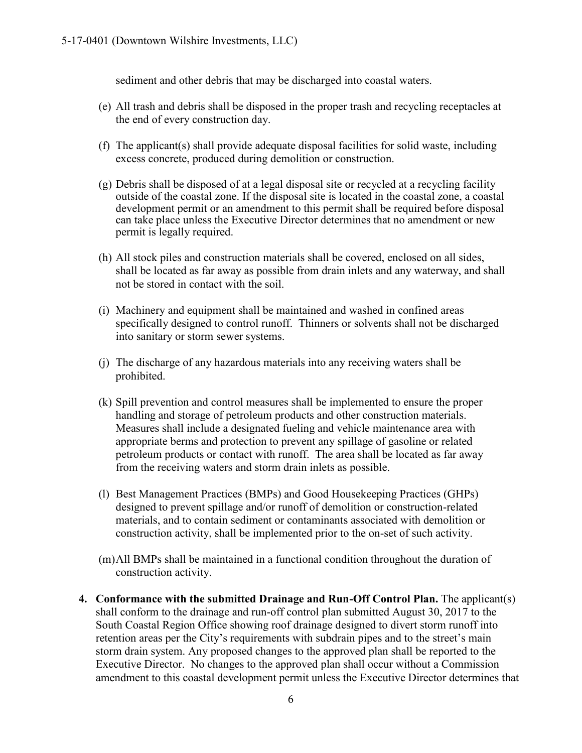sediment and other debris that may be discharged into coastal waters.

- (e) All trash and debris shall be disposed in the proper trash and recycling receptacles at the end of every construction day.
- (f) The applicant(s) shall provide adequate disposal facilities for solid waste, including excess concrete, produced during demolition or construction.
- (g) Debris shall be disposed of at a legal disposal site or recycled at a recycling facility outside of the coastal zone. If the disposal site is located in the coastal zone, a coastal development permit or an amendment to this permit shall be required before disposal can take place unless the Executive Director determines that no amendment or new permit is legally required.
- (h) All stock piles and construction materials shall be covered, enclosed on all sides, shall be located as far away as possible from drain inlets and any waterway, and shall not be stored in contact with the soil.
- (i) Machinery and equipment shall be maintained and washed in confined areas specifically designed to control runoff. Thinners or solvents shall not be discharged into sanitary or storm sewer systems.
- (j) The discharge of any hazardous materials into any receiving waters shall be prohibited.
- (k) Spill prevention and control measures shall be implemented to ensure the proper handling and storage of petroleum products and other construction materials. Measures shall include a designated fueling and vehicle maintenance area with appropriate berms and protection to prevent any spillage of gasoline or related petroleum products or contact with runoff. The area shall be located as far away from the receiving waters and storm drain inlets as possible.
- (l) Best Management Practices (BMPs) and Good Housekeeping Practices (GHPs) designed to prevent spillage and/or runoff of demolition or construction-related materials, and to contain sediment or contaminants associated with demolition or construction activity, shall be implemented prior to the on-set of such activity.
- (m)All BMPs shall be maintained in a functional condition throughout the duration of construction activity.
- **4. Conformance with the submitted Drainage and Run-Off Control Plan.** The applicant(s) shall conform to the drainage and run-off control plan submitted August 30, 2017 to the South Coastal Region Office showing roof drainage designed to divert storm runoff into retention areas per the City's requirements with subdrain pipes and to the street's main storm drain system. Any proposed changes to the approved plan shall be reported to the Executive Director. No changes to the approved plan shall occur without a Commission amendment to this coastal development permit unless the Executive Director determines that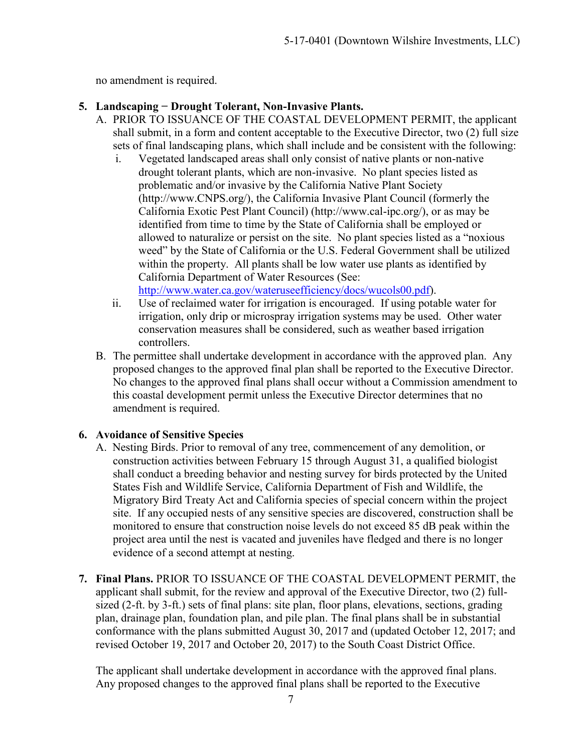no amendment is required.

#### **5. Landscaping − Drought Tolerant, Non-Invasive Plants.**

- A. PRIOR TO ISSUANCE OF THE COASTAL DEVELOPMENT PERMIT, the applicant shall submit, in a form and content acceptable to the Executive Director, two (2) full size sets of final landscaping plans, which shall include and be consistent with the following:
	- i. Vegetated landscaped areas shall only consist of native plants or non-native drought tolerant plants, which are non-invasive. No plant species listed as problematic and/or invasive by the California Native Plant Society (http://www.CNPS.org/), the California Invasive Plant Council (formerly the California Exotic Pest Plant Council) (http://www.cal-ipc.org/), or as may be identified from time to time by the State of California shall be employed or allowed to naturalize or persist on the site. No plant species listed as a "noxious weed" by the State of California or the U.S. Federal Government shall be utilized within the property. All plants shall be low water use plants as identified by California Department of Water Resources (See:

[http://www.water.ca.gov/wateruseefficiency/docs/wucols00.pdf\)](http://www.water.ca.gov/wateruseefficiency/docs/wucols00.pdf).

- ii. Use of reclaimed water for irrigation is encouraged. If using potable water for irrigation, only drip or microspray irrigation systems may be used. Other water conservation measures shall be considered, such as weather based irrigation controllers.
- B. The permittee shall undertake development in accordance with the approved plan. Any proposed changes to the approved final plan shall be reported to the Executive Director. No changes to the approved final plans shall occur without a Commission amendment to this coastal development permit unless the Executive Director determines that no amendment is required.

#### **6. Avoidance of Sensitive Species**

- A. Nesting Birds. Prior to removal of any tree, commencement of any demolition, or construction activities between February 15 through August 31, a qualified biologist shall conduct a breeding behavior and nesting survey for birds protected by the United States Fish and Wildlife Service, California Department of Fish and Wildlife, the Migratory Bird Treaty Act and California species of special concern within the project site. If any occupied nests of any sensitive species are discovered, construction shall be monitored to ensure that construction noise levels do not exceed 85 dB peak within the project area until the nest is vacated and juveniles have fledged and there is no longer evidence of a second attempt at nesting.
- **7. Final Plans.** PRIOR TO ISSUANCE OF THE COASTAL DEVELOPMENT PERMIT, the applicant shall submit, for the review and approval of the Executive Director, two (2) fullsized (2-ft. by 3-ft.) sets of final plans: site plan, floor plans, elevations, sections, grading plan, drainage plan, foundation plan, and pile plan. The final plans shall be in substantial conformance with the plans submitted August 30, 2017 and (updated October 12, 2017; and revised October 19, 2017 and October 20, 2017) to the South Coast District Office.

The applicant shall undertake development in accordance with the approved final plans. Any proposed changes to the approved final plans shall be reported to the Executive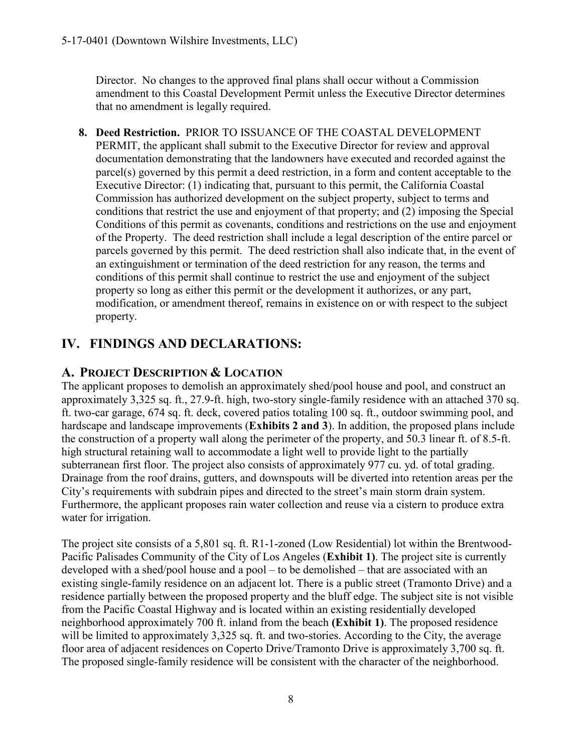Director. No changes to the approved final plans shall occur without a Commission amendment to this Coastal Development Permit unless the Executive Director determines that no amendment is legally required.

**8. Deed Restriction.** PRIOR TO ISSUANCE OF THE COASTAL DEVELOPMENT PERMIT, the applicant shall submit to the Executive Director for review and approval documentation demonstrating that the landowners have executed and recorded against the parcel(s) governed by this permit a deed restriction, in a form and content acceptable to the Executive Director: (1) indicating that, pursuant to this permit, the California Coastal Commission has authorized development on the subject property, subject to terms and conditions that restrict the use and enjoyment of that property; and (2) imposing the Special Conditions of this permit as covenants, conditions and restrictions on the use and enjoyment of the Property. The deed restriction shall include a legal description of the entire parcel or parcels governed by this permit. The deed restriction shall also indicate that, in the event of an extinguishment or termination of the deed restriction for any reason, the terms and conditions of this permit shall continue to restrict the use and enjoyment of the subject property so long as either this permit or the development it authorizes, or any part, modification, or amendment thereof, remains in existence on or with respect to the subject property.

# <span id="page-7-0"></span>**IV. FINDINGS AND DECLARATIONS:**

# <span id="page-7-1"></span>**A. PROJECT DESCRIPTION & LOCATION**

The applicant proposes to demolish an approximately shed/pool house and pool, and construct an approximately 3,325 sq. ft., 27.9-ft. high, two-story single-family residence with an attached 370 sq. ft. two-car garage, 674 sq. ft. deck, covered patios totaling 100 sq. ft., outdoor swimming pool, and hardscape and landscape improvements (**[Exhibits 2](https://documents.coastal.ca.gov/reports/2017/11/Th6b/Th6b-11-2017-exhibits.pdf) and 3**). In addition, the proposed plans include the construction of a property wall along the perimeter of the property, and 50.3 linear ft. of 8.5-ft. high structural retaining wall to accommodate a light well to provide light to the partially subterranean first floor. The project also consists of approximately 977 cu. yd. of total grading. Drainage from the roof drains, gutters, and downspouts will be diverted into retention areas per the City's requirements with subdrain pipes and directed to the street's main storm drain system. Furthermore, the applicant proposes rain water collection and reuse via a cistern to produce extra water for irrigation.

The project site consists of a 5,801 sq. ft. R1-1-zoned (Low Residential) lot within the Brentwood-Pacific Palisades Community of the City of Los Angeles (**[Exhibit 1\)](https://documents.coastal.ca.gov/reports/2017/11/Th6b/Th6b-11-2017-exhibits.pdf)**. The project site is currently developed with a shed/pool house and a pool – to be demolished – that are associated with an existing single-family residence on an adjacent lot. There is a public street (Tramonto Drive) and a residence partially between the proposed property and the bluff edge. The subject site is not visible from the Pacific Coastal Highway and is located within an existing residentially developed neighborhood approximately 700 ft. inland from the beach **[\(Exhibit 1\)](https://documents.coastal.ca.gov/reports/2017/11/Th6b/Th6b-11-2017-exhibits.pdf)**. The proposed residence will be limited to approximately 3,325 sq. ft. and two-stories. According to the City, the average floor area of adjacent residences on Coperto Drive/Tramonto Drive is approximately 3,700 sq. ft. The proposed single-family residence will be consistent with the character of the neighborhood.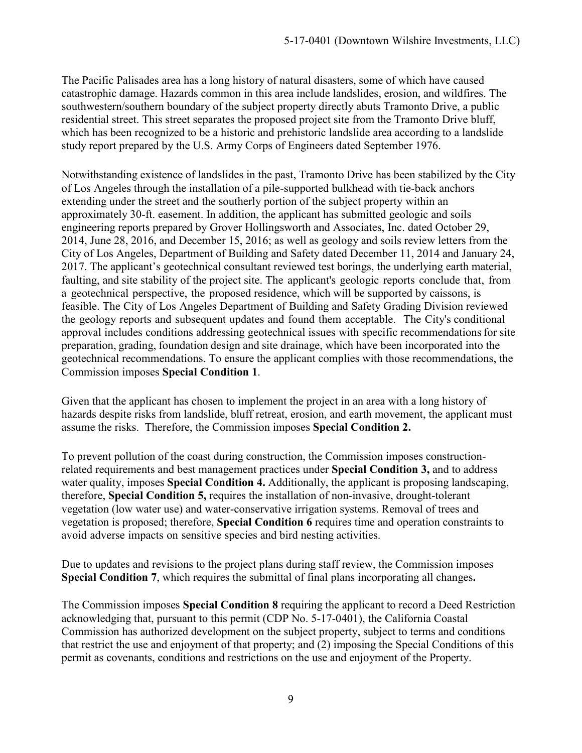The Pacific Palisades area has a long history of natural disasters, some of which have caused catastrophic damage. Hazards common in this area include landslides, erosion, and wildfires. The southwestern/southern boundary of the subject property directly abuts Tramonto Drive, a public residential street. This street separates the proposed project site from the Tramonto Drive bluff, which has been recognized to be a historic and prehistoric landslide area according to a landslide study report prepared by the U.S. Army Corps of Engineers dated September 1976.

Notwithstanding existence of landslides in the past, Tramonto Drive has been stabilized by the City of Los Angeles through the installation of a pile-supported bulkhead with tie-back anchors extending under the street and the southerly portion of the subject property within an approximately 30-ft. easement. In addition, the applicant has submitted geologic and soils engineering reports prepared by Grover Hollingsworth and Associates, Inc. dated October 29, 2014, June 28, 2016, and December 15, 2016; as well as geology and soils review letters from the City of Los Angeles, Department of Building and Safety dated December 11, 2014 and January 24, 2017. The applicant's geotechnical consultant reviewed test borings, the underlying earth material, faulting, and site stability of the project site. The applicant's geologic reports conclude that, from a geotechnical perspective, the proposed residence, which will be supported by caissons, is feasible. The City of Los Angeles Department of Building and Safety Grading Division reviewed the geology reports and subsequent updates and found them acceptable. The City's conditional approval includes conditions addressing geotechnical issues with specific recommendations for site preparation, grading, foundation design and site drainage, which have been incorporated into the geotechnical recommendations. To ensure the applicant complies with those recommendations, the Commission imposes **Special Condition 1**.

Given that the applicant has chosen to implement the project in an area with a long history of hazards despite risks from landslide, bluff retreat, erosion, and earth movement, the applicant must assume the risks. Therefore, the Commission imposes **Special Condition 2.**

To prevent pollution of the coast during construction, the Commission imposes constructionrelated requirements and best management practices under **Special Condition 3,** and to address water quality, imposes **Special Condition 4.** Additionally, the applicant is proposing landscaping, therefore, **Special Condition 5,** requires the installation of non-invasive, drought-tolerant vegetation (low water use) and water-conservative irrigation systems. Removal of trees and vegetation is proposed; therefore, **Special Condition 6** requires time and operation constraints to avoid adverse impacts on sensitive species and bird nesting activities.

Due to updates and revisions to the project plans during staff review, the Commission imposes **Special Condition 7**, which requires the submittal of final plans incorporating all changes**.** 

The Commission imposes **Special Condition 8** requiring the applicant to record a Deed Restriction acknowledging that, pursuant to this permit (CDP No. 5-17-0401), the California Coastal Commission has authorized development on the subject property, subject to terms and conditions that restrict the use and enjoyment of that property; and (2) imposing the Special Conditions of this permit as covenants, conditions and restrictions on the use and enjoyment of the Property.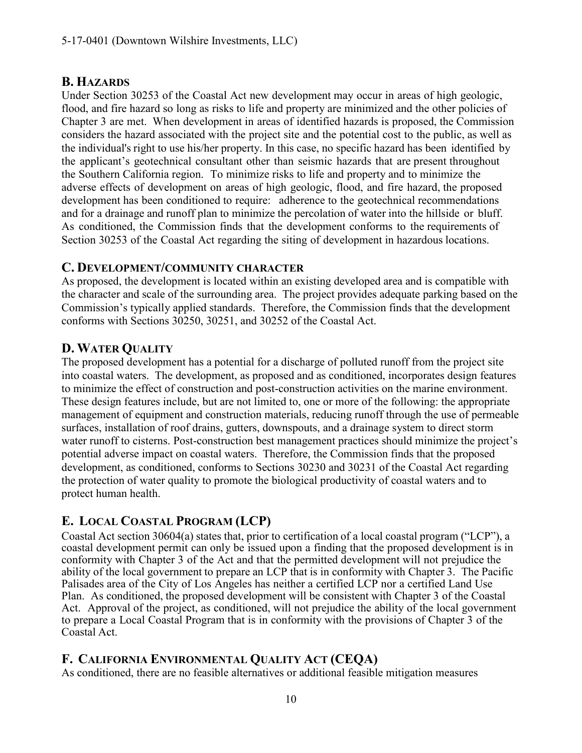#### <span id="page-9-0"></span>**B. HAZARDS**

Under Section 30253 of the Coastal Act new development may occur in areas of high geologic, flood, and fire hazard so long as risks to life and property are minimized and the other policies of Chapter 3 are met. When development in areas of identified hazards is proposed, the Commission considers the hazard associated with the project site and the potential cost to the public, as well as the individual's right to use his/her property. In this case, no specific hazard has been identified by the applicant's geotechnical consultant other than seismic hazards that are present throughout the Southern California region. To minimize risks to life and property and to minimize the adverse effects of development on areas of high geologic, flood, and fire hazard, the proposed development has been conditioned to require: adherence to the geotechnical recommendations and for a drainage and runoff plan to minimize the percolation of water into the hillside or bluff. As conditioned, the Commission finds that the development conforms to the requirements of Section 30253 of the Coastal Act regarding the siting of development in hazardous locations.

#### <span id="page-9-1"></span>**C. DEVELOPMENT/COMMUNITY CHARACTER**

As proposed, the development is located within an existing developed area and is compatible with the character and scale of the surrounding area. The project provides adequate parking based on the Commission's typically applied standards. Therefore, the Commission finds that the development conforms with Sections 30250, 30251, and 30252 of the Coastal Act.

### <span id="page-9-2"></span>**D. WATER QUALITY**

The proposed development has a potential for a discharge of polluted runoff from the project site into coastal waters. The development, as proposed and as conditioned, incorporates design features to minimize the effect of construction and post-construction activities on the marine environment. These design features include, but are not limited to, one or more of the following: the appropriate management of equipment and construction materials, reducing runoff through the use of permeable surfaces, installation of roof drains, gutters, downspouts, and a drainage system to direct storm water runoff to cisterns. Post-construction best management practices should minimize the project's potential adverse impact on coastal waters. Therefore, the Commission finds that the proposed development, as conditioned, conforms to Sections 30230 and 30231 of the Coastal Act regarding the protection of water quality to promote the biological productivity of coastal waters and to protect human health.

# <span id="page-9-3"></span>**E. LOCAL COASTAL PROGRAM (LCP)**

Coastal Act section 30604(a) states that, prior to certification of a local coastal program ("LCP"), a coastal development permit can only be issued upon a finding that the proposed development is in conformity with Chapter 3 of the Act and that the permitted development will not prejudice the ability of the local government to prepare an LCP that is in conformity with Chapter 3. The Pacific Palisades area of the City of Los Angeles has neither a certified LCP nor a certified Land Use Plan. As conditioned, the proposed development will be consistent with Chapter 3 of the Coastal Act. Approval of the project, as conditioned, will not prejudice the ability of the local government to prepare a Local Coastal Program that is in conformity with the provisions of Chapter 3 of the Coastal Act.

### <span id="page-9-4"></span>**F. CALIFORNIA ENVIRONMENTAL QUALITY ACT (CEQA)**

As conditioned, there are no feasible alternatives or additional feasible mitigation measures